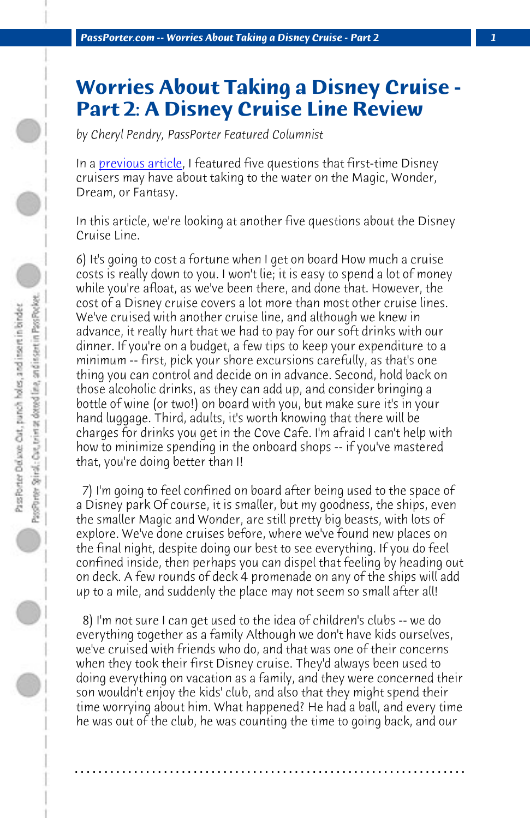*PassPorter.com -- Worries About Taking a Disney Cruise - Part 2 1*

## **Worries About Taking a Disney Cruise - Part 2: A Disney Cruise Line Review**

*by Cheryl Pendry, PassPorter Featured Columnist*

In a *previous article*, I featured five questions that first-time Disney cruisers may have about taking to the water on the Magic, Wonder, Dream, or Fantasy.

In this article, we're looking at another five questions about the Disney Cruise Line.

6) It's going to cost a fortune when I get on board How much a cruise costs is really down to you. I won't lie; it is easy to spend a lot of money while you're afloat, as we've been there, and done that. However, the cost of a Disney cruise covers a lot more than most other cruise lines. We've cruised with another cruise line, and although we knew in advance, it really hurt that we had to pay for our soft drinks with our dinner. If you're on a budget, a few tips to keep your expenditure to a minimum -- first, pick your shore excursions carefully, as that's one thing you can control and decide on in advance. Second, hold back on those alcoholic drinks, as they can add up, and consider bringing a bottle of wine (or two!) on board with you, but make sure it's in your hand luggage. Third, adults, it's worth knowing that there will be charges for drinks you get in the Cove Cafe. I'm afraid I can't help with how to minimize spending in the onboard shops -- if you've mastered that, you're doing better than I!

 7) I'm going to feel confined on board after being used to the space of a Disney park Of course, it is smaller, but my goodness, the ships, even the smaller Magic and Wonder, are still pretty big beasts, with lots of explore. We've done cruises before, where we've found new places on the final night, despite doing our best to see everything. If you do feel confined inside, then perhaps you can dispel that feeling by heading out on deck. A few rounds of deck 4 promenade on any of the ships will add up to a mile, and suddenly the place may not seem so small after all!

 8) I'm not sure I can get used to the idea of children's clubs -- we do everything together as a family Although we don't have kids ourselves, we've cruised with friends who do, and that was one of their concerns when they took their first Disney cruise. They'd always been used to doing everything on vacation as a family, and they were concerned their son wouldn't enjoy the kids' club, and also that they might spend their time worrying about him. What happened? He had a ball, and every time he was out of the club, he was counting the time to going back, and our

**. . . . . . . . . . . . . . . . . . . . . . . . . . . . . . . . . . . . . . . . . . . . . . . . . . . . . . . . . . . . . . . . . .**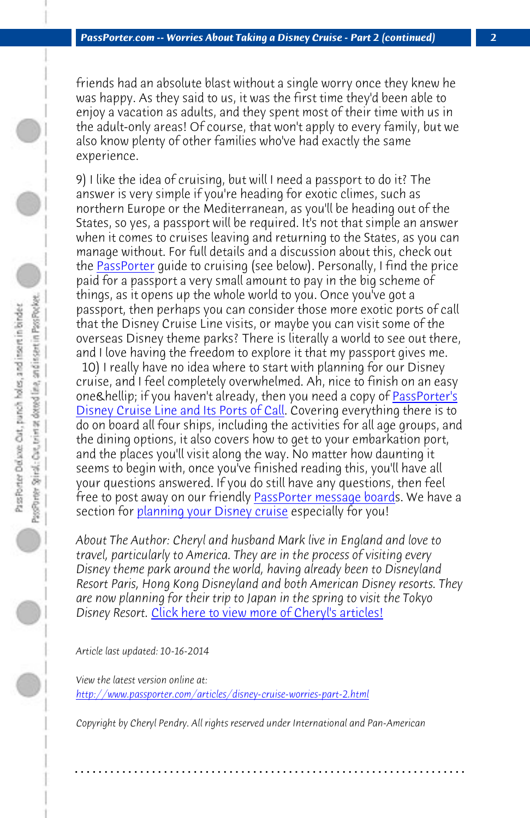*PassPorter.com -- Worries About Taking a Disney Cruise - Part 2 (continued) 2*

friends had an absolute blast without a single worry once they knew he was happy. As they said to us, it was the first time they'd been able to enjoy a vacation as adults, and they spent most of their time with us in the adult-only areas! Of course, that won't apply to every family, but we also know plenty of other families who've had exactly the same experience.

[9\) I like the idea of cruising, but will I ne](http://www.passporterstore.com/store/dcldeluxe.aspx)ed a passport to do it? The answer is very simple if you're heading for exotic climes, such as northern Europe or the Mediterranean, as you'll be heading out of the States, so yes, a passport will be required. It's not that simple an answer when it comes to cruises leaving and returning to the States, as you can manage without. For full details a[nd a discussion about this,](http://www.passporterboards.com/forums/) check out the **PassPorter** quide to cruising (see below). Personally, I find the price paid for a passport a very small amount to pay in the big scheme of things, as it opens up the whole world to you. Once you've got a passport, then perhaps you can consider those more exotic ports of call that the Disney Cruise Line visits, or maybe you can visit some of the overseas Disney theme parks? There is literally a world to see out there, and I love having the freedom to explore it that my passport gives me.

 10) I really h[ave no idea where to start with planning for](http://www.passporter.com/articles/cheryl-pendry-featured-columnist.asp) our Disney cruise, and I feel completely overwhelmed. Ah, nice to finish on an easy one… if you haven't already, then you need a copy of PassPorter's Disney Cruise Line and Its Ports of Call. Covering everything there is to do on board all four ships, including the activities for all age groups, and the dining options, it also covers how to get to your embarkation port, [and the places you'll visit along the way. No matter how](http://www.passporter.com/articles/disney-cruise-worries-part-2.php) daunting it seems to begin with, once you've finished reading this, you'll have all your questions answered. If you do still have any questions, then feel free to post away on our friendly PassPorter message boards. We have a section for planning your Disney cruise especially for you!

*About The Author: Cheryl and husband Mark live in England and love to travel, particularly to America. They are in the process of visiting every Disney theme park around the world, having already been to Disneyland Resort Paris, Hong Kong Disneyland and both American Disney resorts. They are now planning for their trip to Japan in the spring to visit the Tokyo Disney Resort.* Click here to view more of Cheryl's articles!

*Article last updated: 10-16-2014*

*View the latest version online at: http://www.passporter.com/articles/disney-cruise-worries-part-2.html*

*Copyright by Cheryl Pendry. All rights reserved under International and Pan-American*

**. . . . . . . . . . . . . . . . . . . . . . . . . . . . . . . . . . . . . . . . . . . . . . . . . . . . . . . . . . . . . . . . . .**